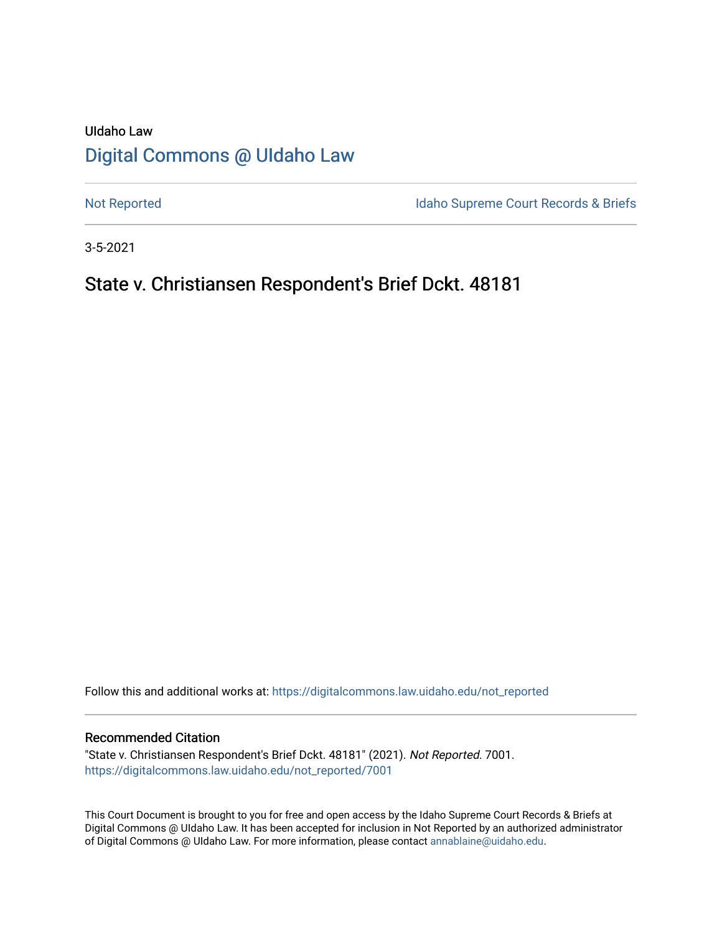## UIdaho Law [Digital Commons @ UIdaho Law](https://digitalcommons.law.uidaho.edu/)

[Not Reported](https://digitalcommons.law.uidaho.edu/not_reported) **Idaho Supreme Court Records & Briefs** 

3-5-2021

## State v. Christiansen Respondent's Brief Dckt. 48181

Follow this and additional works at: [https://digitalcommons.law.uidaho.edu/not\\_reported](https://digitalcommons.law.uidaho.edu/not_reported?utm_source=digitalcommons.law.uidaho.edu%2Fnot_reported%2F7001&utm_medium=PDF&utm_campaign=PDFCoverPages) 

### Recommended Citation

"State v. Christiansen Respondent's Brief Dckt. 48181" (2021). Not Reported. 7001. [https://digitalcommons.law.uidaho.edu/not\\_reported/7001](https://digitalcommons.law.uidaho.edu/not_reported/7001?utm_source=digitalcommons.law.uidaho.edu%2Fnot_reported%2F7001&utm_medium=PDF&utm_campaign=PDFCoverPages)

This Court Document is brought to you for free and open access by the Idaho Supreme Court Records & Briefs at Digital Commons @ UIdaho Law. It has been accepted for inclusion in Not Reported by an authorized administrator of Digital Commons @ UIdaho Law. For more information, please contact [annablaine@uidaho.edu](mailto:annablaine@uidaho.edu).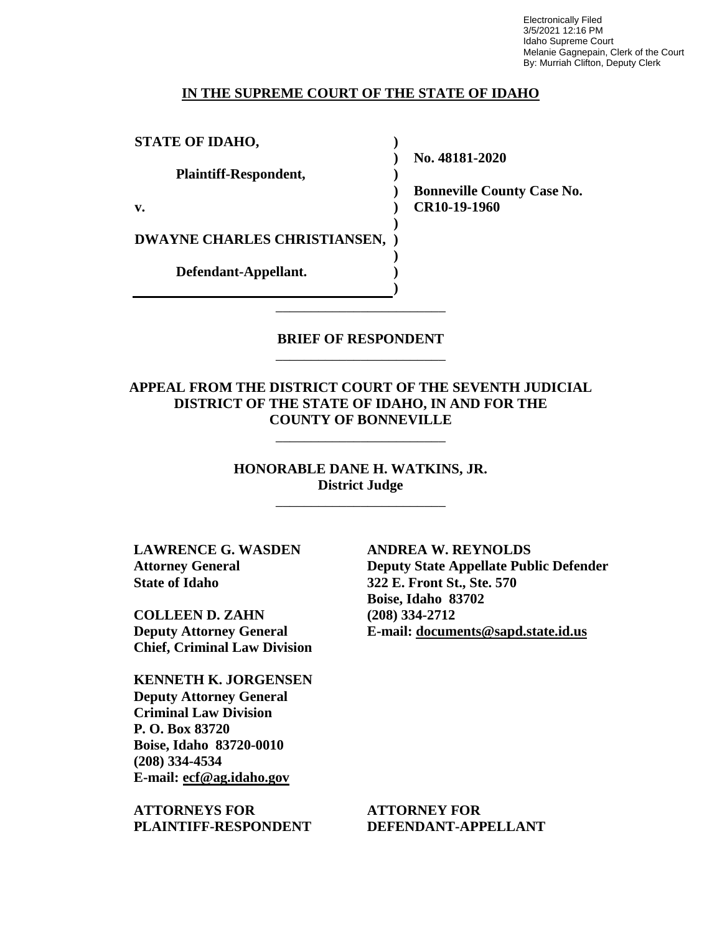Electronically Filed 3/5/2021 12:16 PM Idaho Supreme Court Melanie Gagnepain, Clerk of the Court By: Murriah Clifton, Deputy Clerk

#### **IN THE SUPREME COURT OF THE STATE OF IDAHO**

**) ) )**

**) )**

**) ) )**

**STATE OF IDAHO,**

**Plaintiff-Respondent,**

**v.** 

**DWAYNE CHARLES CHRISTIANSEN, )**

**Defendant-Appellant.**

**No. 48181-2020** 

**) Bonneville County Case No. CR10-19-1960** 

**BRIEF OF RESPONDENT** \_\_\_\_\_\_\_\_\_\_\_\_\_\_\_\_\_\_\_\_\_\_\_\_

\_\_\_\_\_\_\_\_\_\_\_\_\_\_\_\_\_\_\_\_\_\_\_\_

**APPEAL FROM THE DISTRICT COURT OF THE SEVENTH JUDICIAL DISTRICT OF THE STATE OF IDAHO, IN AND FOR THE COUNTY OF BONNEVILLE**

\_\_\_\_\_\_\_\_\_\_\_\_\_\_\_\_\_\_\_\_\_\_\_\_

**HONORABLE DANE H. WATKINS, JR. District Judge**

\_\_\_\_\_\_\_\_\_\_\_\_\_\_\_\_\_\_\_\_\_\_\_\_

**LAWRENCE G. WASDEN Attorney General State of Idaho**

**COLLEEN D. ZAHN Deputy Attorney General Chief, Criminal Law Division**

**KENNETH K. JORGENSEN Deputy Attorney General Criminal Law Division P. O. Box 83720 Boise, Idaho 83720-0010 (208) 334-4534 E-mail: ecf@ag.idaho.gov** 

**ATTORNEYS FOR PLAINTIFF-RESPONDENT** **ANDREA W. REYNOLDS Deputy State Appellate Public Defender 322 E. Front St., Ste. 570 Boise, Idaho 83702 (208) 334-2712 E-mail: documents@sapd.state.id.us** 

**ATTORNEY FOR DEFENDANT-APPELLANT**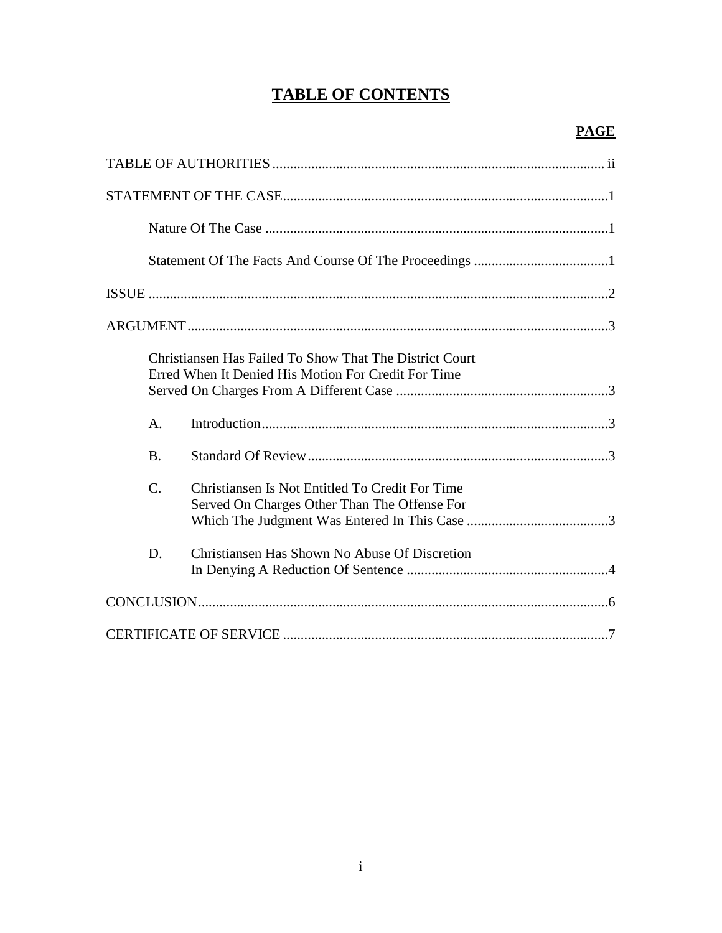# **TABLE OF CONTENTS**

| Christiansen Has Failed To Show That The District Court<br>Erred When It Denied His Motion For Credit For Time     |  |
|--------------------------------------------------------------------------------------------------------------------|--|
| A.                                                                                                                 |  |
| <b>B.</b>                                                                                                          |  |
| $\mathcal{C}$ .<br>Christiansen Is Not Entitled To Credit For Time<br>Served On Charges Other Than The Offense For |  |
| Christiansen Has Shown No Abuse Of Discretion<br>D.                                                                |  |
|                                                                                                                    |  |
|                                                                                                                    |  |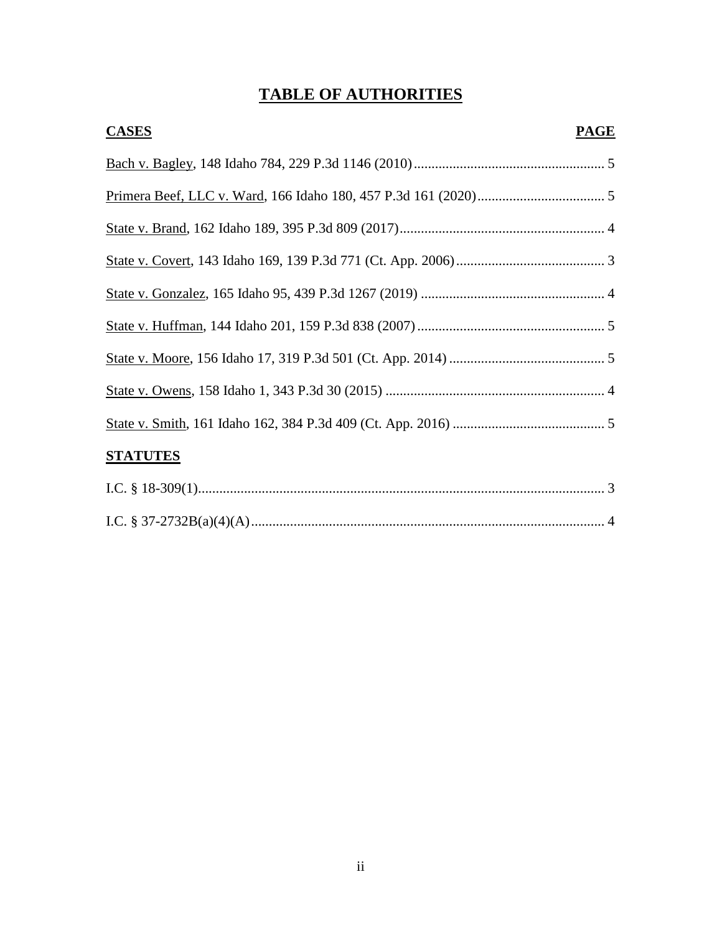# **TABLE OF AUTHORITIES**

| <b>CASES</b>    | <b>PAGE</b> |
|-----------------|-------------|
|                 |             |
|                 |             |
|                 |             |
|                 |             |
|                 |             |
|                 |             |
|                 |             |
|                 |             |
|                 |             |
| <b>STATUTES</b> |             |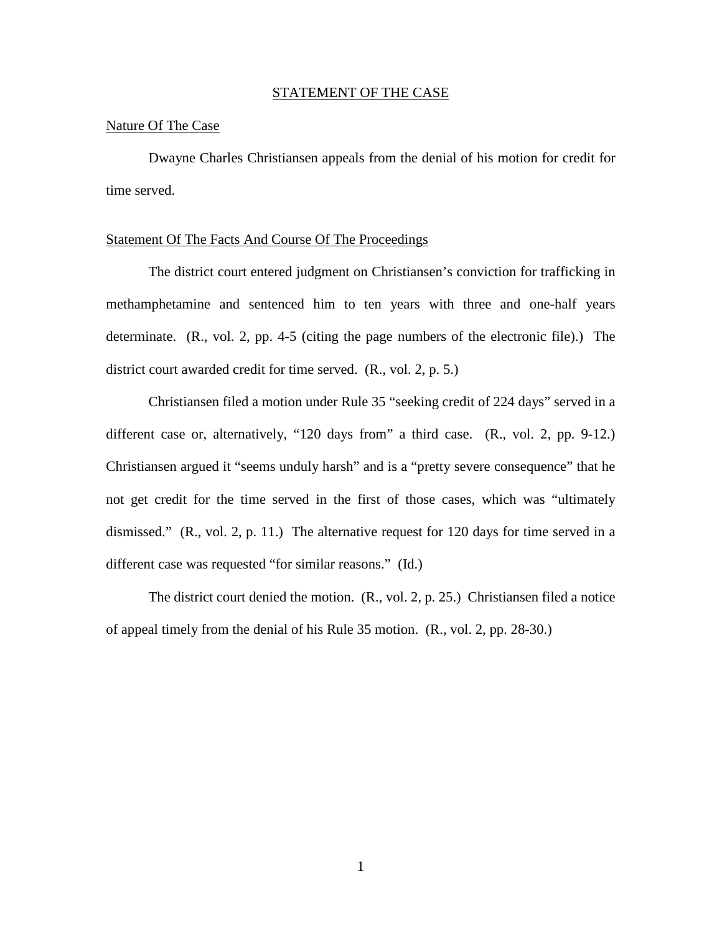#### STATEMENT OF THE CASE

### Nature Of The Case

Dwayne Charles Christiansen appeals from the denial of his motion for credit for time served.

### Statement Of The Facts And Course Of The Proceedings

The district court entered judgment on Christiansen's conviction for trafficking in methamphetamine and sentenced him to ten years with three and one-half years determinate. (R., vol. 2, pp. 4-5 (citing the page numbers of the electronic file).) The district court awarded credit for time served. (R., vol. 2, p. 5.)

 Christiansen filed a motion under Rule 35 "seeking credit of 224 days" served in a different case or, alternatively, "120 days from" a third case. (R., vol. 2, pp. 9-12.) Christiansen argued it "seems unduly harsh" and is a "pretty severe consequence" that he not get credit for the time served in the first of those cases, which was "ultimately dismissed." (R., vol. 2, p. 11.) The alternative request for 120 days for time served in a different case was requested "for similar reasons." (Id.)

The district court denied the motion. (R., vol. 2, p. 25.) Christiansen filed a notice of appeal timely from the denial of his Rule 35 motion. (R., vol. 2, pp. 28-30.)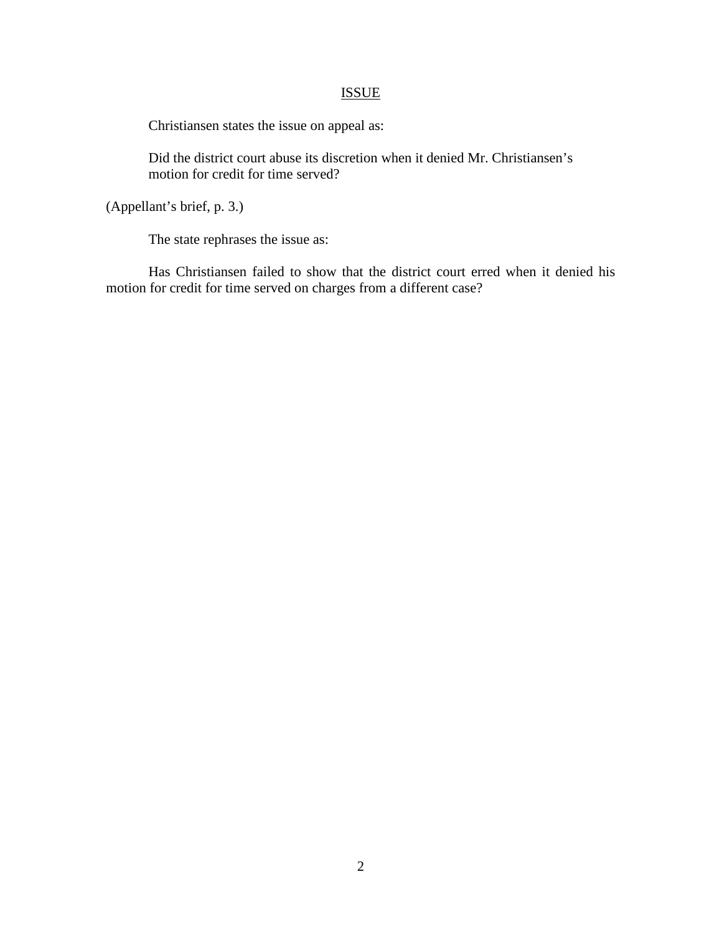## ISSUE

Christiansen states the issue on appeal as:

Did the district court abuse its discretion when it denied Mr. Christiansen's motion for credit for time served?

(Appellant's brief, p. 3.)

The state rephrases the issue as:

Has Christiansen failed to show that the district court erred when it denied his motion for credit for time served on charges from a different case?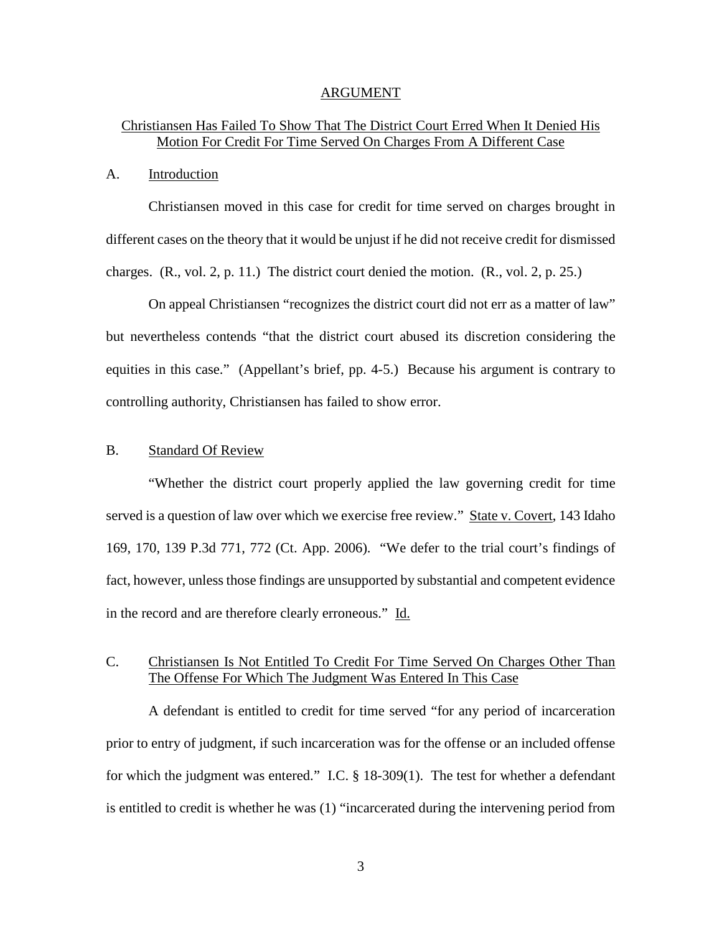#### ARGUMENT

## Christiansen Has Failed To Show That The District Court Erred When It Denied His Motion For Credit For Time Served On Charges From A Different Case

### A. Introduction

Christiansen moved in this case for credit for time served on charges brought in different cases on the theory that it would be unjust if he did not receive credit for dismissed charges. (R., vol. 2, p. 11.) The district court denied the motion. (R., vol. 2, p. 25.)

On appeal Christiansen "recognizes the district court did not err as a matter of law" but nevertheless contends "that the district court abused its discretion considering the equities in this case." (Appellant's brief, pp. 4-5.) Because his argument is contrary to controlling authority, Christiansen has failed to show error.

### B. Standard Of Review

 "Whether the district court properly applied the law governing credit for time served is a question of law over which we exercise free review." State v. Covert, 143 Idaho 169, 170, 139 P.3d 771, 772 (Ct. App. 2006). "We defer to the trial court's findings of fact, however, unless those findings are unsupported by substantial and competent evidence in the record and are therefore clearly erroneous." Id.

## C. Christiansen Is Not Entitled To Credit For Time Served On Charges Other Than The Offense For Which The Judgment Was Entered In This Case

A defendant is entitled to credit for time served "for any period of incarceration prior to entry of judgment, if such incarceration was for the offense or an included offense for which the judgment was entered." I.C. § 18-309(1). The test for whether a defendant is entitled to credit is whether he was (1) "incarcerated during the intervening period from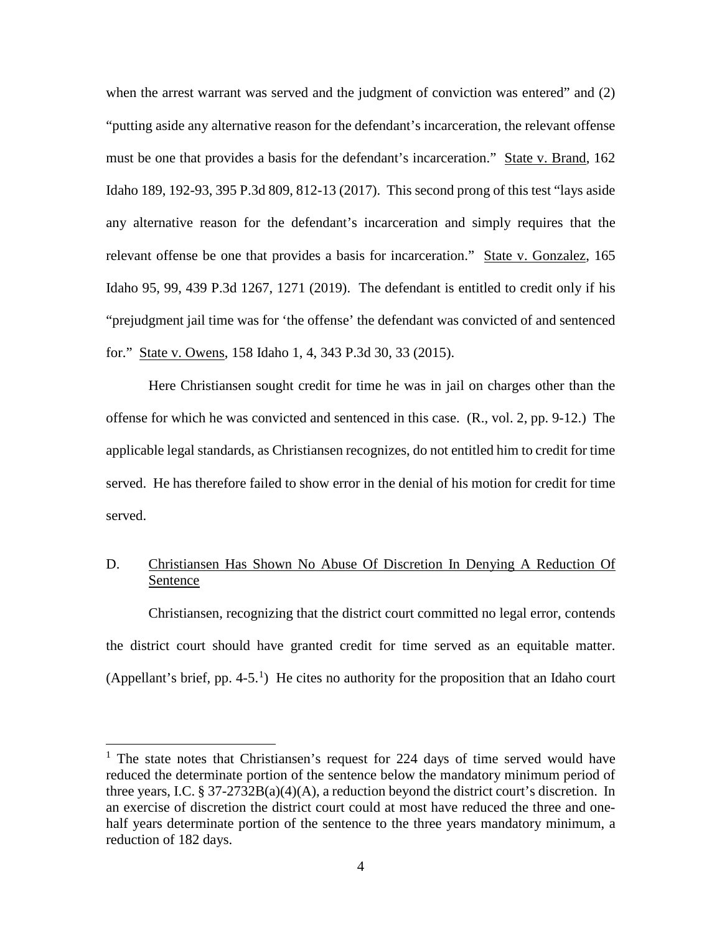when the arrest warrant was served and the judgment of conviction was entered" and (2) "putting aside any alternative reason for the defendant's incarceration, the relevant offense must be one that provides a basis for the defendant's incarceration." State v. Brand, 162 Idaho 189, 192-93, 395 P.3d 809, 812-13 (2017). This second prong of this test "lays aside any alternative reason for the defendant's incarceration and simply requires that the relevant offense be one that provides a basis for incarceration." State v. Gonzalez, 165 Idaho 95, 99, 439 P.3d 1267, 1271 (2019). The defendant is entitled to credit only if his "prejudgment jail time was for 'the offense' the defendant was convicted of and sentenced for." State v. Owens, 158 Idaho 1, 4, 343 P.3d 30, 33 (2015).

Here Christiansen sought credit for time he was in jail on charges other than the offense for which he was convicted and sentenced in this case. (R., vol. 2, pp. 9-12.) The applicable legal standards, as Christiansen recognizes, do not entitled him to credit for time served. He has therefore failed to show error in the denial of his motion for credit for time served.

## D. Christiansen Has Shown No Abuse Of Discretion In Denying A Reduction Of Sentence

 Christiansen, recognizing that the district court committed no legal error, contends the district court should have granted credit for time served as an equitable matter. (Appellant's brief, pp. 4-5.<sup>[1](#page-7-0)</sup>) He cites no authority for the proposition that an Idaho court

 $\overline{a}$ 

<span id="page-7-0"></span> $1$  The state notes that Christiansen's request for 224 days of time served would have reduced the determinate portion of the sentence below the mandatory minimum period of three years, I.C. § 37-2732B(a)(4)(A), a reduction beyond the district court's discretion. In an exercise of discretion the district court could at most have reduced the three and onehalf years determinate portion of the sentence to the three years mandatory minimum, a reduction of 182 days.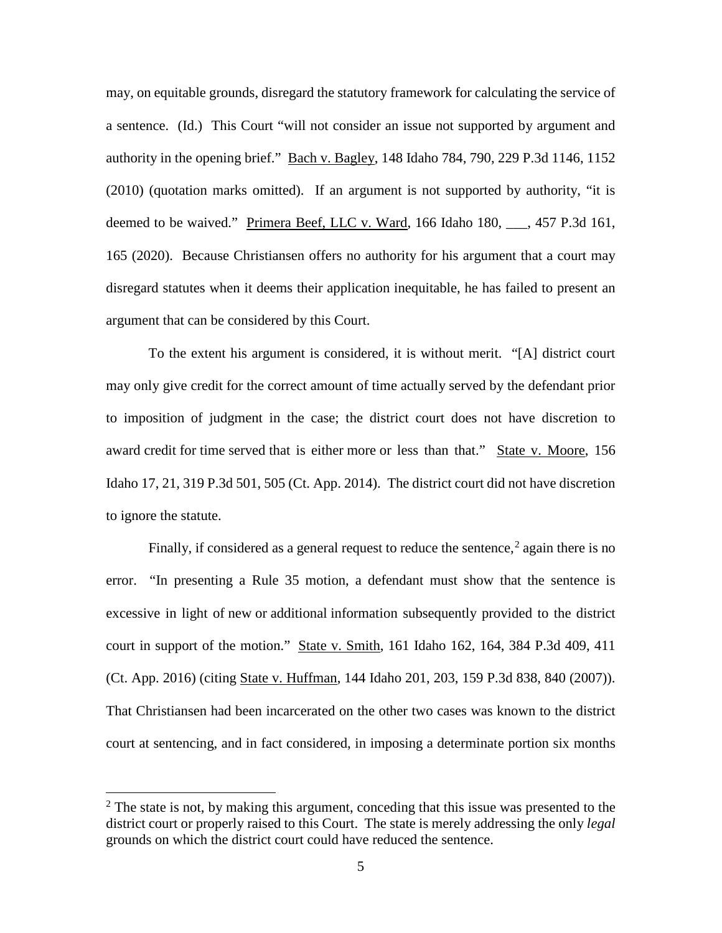may, on equitable grounds, disregard the statutory framework for calculating the service of a sentence. (Id.) This Court "will not consider an issue not supported by argument and authority in the opening brief." Bach v. Bagley, 148 Idaho 784, 790, 229 P.3d 1146, 1152 (2010) (quotation marks omitted). If an argument is not supported by authority, "it is deemed to be waived." Primera Beef, LLC v. Ward, 166 Idaho 180, \_\_\_, 457 P.3d 161, 165 (2020). Because Christiansen offers no authority for his argument that a court may disregard statutes when it deems their application inequitable, he has failed to present an argument that can be considered by this Court.

To the extent his argument is considered, it is without merit. "[A] district court may only give credit for the correct amount of time actually served by the defendant prior to imposition of judgment in the case; the district court does not have discretion to award credit for time served that is either more or less than that." State v. Moore, 156 Idaho 17, 21, 319 P.3d 501, 505 (Ct. App. 2014). The district court did not have discretion to ignore the statute.

Finally, if considered as a general request to reduce the sentence,<sup>[2](#page-8-0)</sup> again there is no error. "In presenting a Rule 35 motion, a defendant must show that the sentence is excessive in light of new or additional information subsequently provided to the district court in support of the motion." State v. Smith, 161 Idaho 162, 164, 384 P.3d 409, 411 (Ct. App. 2016) (citing State v. Huffman, 144 Idaho 201, 203, 159 P.3d 838, 840 (2007)). That Christiansen had been incarcerated on the other two cases was known to the district court at sentencing, and in fact considered, in imposing a determinate portion six months

 $\overline{a}$ 

<span id="page-8-0"></span> $2^2$  The state is not, by making this argument, conceding that this issue was presented to the district court or properly raised to this Court. The state is merely addressing the only *legal* grounds on which the district court could have reduced the sentence.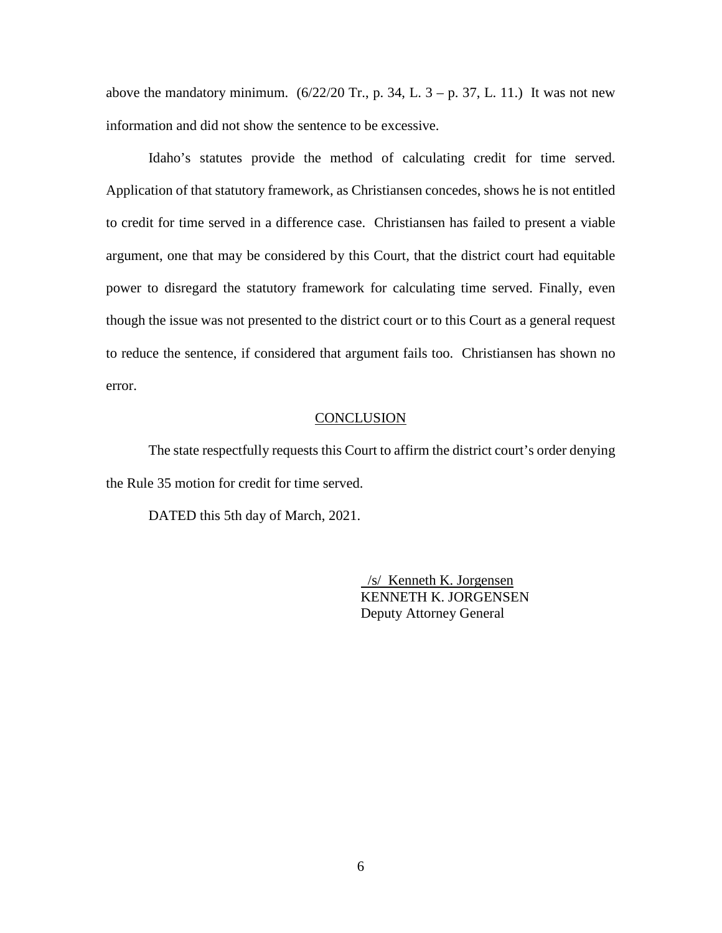above the mandatory minimum.  $(6/22/20 \text{ Tr}., p. 34, L. 3 - p. 37, L. 11.)$  It was not new information and did not show the sentence to be excessive.

Idaho's statutes provide the method of calculating credit for time served. Application of that statutory framework, as Christiansen concedes, shows he is not entitled to credit for time served in a difference case. Christiansen has failed to present a viable argument, one that may be considered by this Court, that the district court had equitable power to disregard the statutory framework for calculating time served. Finally, even though the issue was not presented to the district court or to this Court as a general request to reduce the sentence, if considered that argument fails too. Christiansen has shown no error.

## **CONCLUSION**

The state respectfully requests this Court to affirm the district court's order denying the Rule 35 motion for credit for time served.

DATED this 5th day of March, 2021.

 /s/ Kenneth K. Jorgensen KENNETH K. JORGENSEN Deputy Attorney General